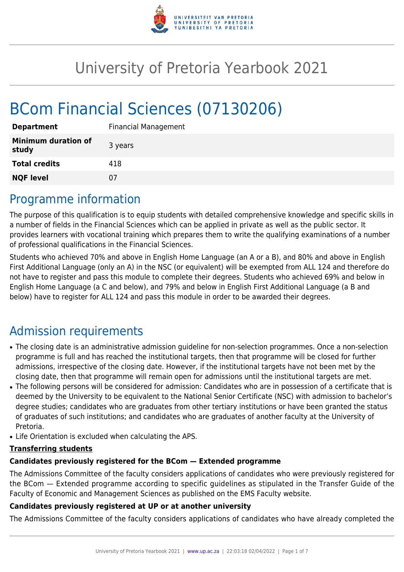

# University of Pretoria Yearbook 2021

# BCom Financial Sciences (07130206)

| <b>Department</b>                   | <b>Financial Management</b> |
|-------------------------------------|-----------------------------|
| <b>Minimum duration of</b><br>study | 3 years                     |
| <b>Total credits</b>                | 418                         |
| <b>NQF level</b>                    | 07                          |

### Programme information

The purpose of this qualification is to equip students with detailed comprehensive knowledge and specific skills in a number of fields in the Financial Sciences which can be applied in private as well as the public sector. It provides learners with vocational training which prepares them to write the qualifying examinations of a number of professional qualifications in the Financial Sciences.

Students who achieved 70% and above in English Home Language (an A or a B), and 80% and above in English First Additional Language (only an A) in the NSC (or equivalent) will be exempted from ALL 124 and therefore do not have to register and pass this module to complete their degrees. Students who achieved 69% and below in English Home Language (a C and below), and 79% and below in English First Additional Language (a B and below) have to register for ALL 124 and pass this module in order to be awarded their degrees.

# Admission requirements

- The closing date is an administrative admission guideline for non-selection programmes. Once a non-selection programme is full and has reached the institutional targets, then that programme will be closed for further admissions, irrespective of the closing date. However, if the institutional targets have not been met by the closing date, then that programme will remain open for admissions until the institutional targets are met.
- The following persons will be considered for admission: Candidates who are in possession of a certificate that is deemed by the University to be equivalent to the National Senior Certificate (NSC) with admission to bachelor's degree studies; candidates who are graduates from other tertiary institutions or have been granted the status of graduates of such institutions; and candidates who are graduates of another faculty at the University of Pretoria.
- Life Orientation is excluded when calculating the APS.

#### **Transferring students**

#### **Candidates previously registered for the BCom — Extended programme**

The Admissions Committee of the faculty considers applications of candidates who were previously registered for the BCom — Extended programme according to specific guidelines as stipulated in the Transfer Guide of the Faculty of Economic and Management Sciences as published on the EMS Faculty website.

#### **Candidates previously registered at UP or at another university**

The Admissions Committee of the faculty considers applications of candidates who have already completed the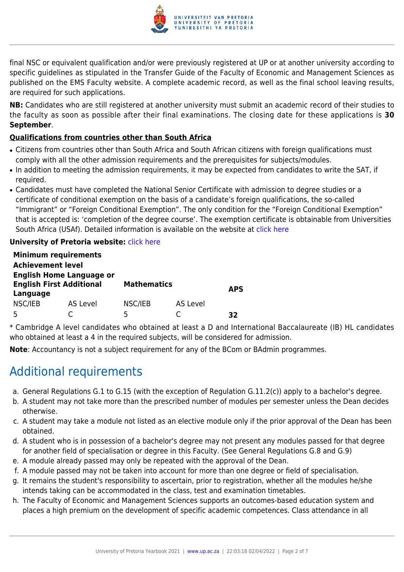

final NSC or equivalent qualification and/or were previously registered at UP or at another university according to specific guidelines as stipulated in the Transfer Guide of the Faculty of Economic and Management Sciences as published on the EMS Faculty website. A complete academic record, as well as the final school leaving results, are required for such applications.

**NB:** Candidates who are still registered at another university must submit an academic record of their studies to the faculty as soon as possible after their final examinations. The closing date for these applications is **30 September**.

#### **Qualifications from countries other than South Africa**

- Citizens from countries other than South Africa and South African citizens with foreign qualifications must comply with all the other admission requirements and the prerequisites for subjects/modules.
- In addition to meeting the admission requirements, it may be expected from candidates to write the SAT, if required.
- Candidates must have completed the National Senior Certificate with admission to degree studies or a certificate of conditional exemption on the basis of a candidate's foreign qualifications, the so-called "Immigrant" or "Foreign Conditional Exemption". The only condition for the "Foreign Conditional Exemption" that is accepted is: 'completion of the degree course'. The exemption certificate is obtainable from Universities South Africa (USAf). Detailed information is available on the website at [click here](http://mb.usaf.ac.za)

#### **University of Pretoria website: [click here](http://www.up.ac.za/ems)**

|                          | <b>Minimum requirements</b>                                        |                    |          |            |
|--------------------------|--------------------------------------------------------------------|--------------------|----------|------------|
| <b>Achievement level</b> |                                                                    |                    |          |            |
| Language                 | <b>English Home Language or</b><br><b>English First Additional</b> | <b>Mathematics</b> |          | <b>APS</b> |
| NSC/IEB                  | AS Level                                                           | NSC/IEB            | AS Level |            |
| Б,                       |                                                                    | 5                  |          | 32         |

\* Cambridge A level candidates who obtained at least a D and International Baccalaureate (IB) HL candidates who obtained at least a 4 in the required subjects, will be considered for admission.

**Note**: Accountancy is not a subject requirement for any of the BCom or BAdmin programmes.

# Additional requirements

- a. General Regulations G.1 to G.15 (with the exception of Regulation G.11.2(c)) apply to a bachelor's degree.
- b. A student may not take more than the prescribed number of modules per semester unless the Dean decides otherwise.
- c. A student may take a module not listed as an elective module only if the prior approval of the Dean has been obtained.
- d. A student who is in possession of a bachelor's degree may not present any modules passed for that degree for another field of specialisation or degree in this Faculty. (See General Regulations G.8 and G.9)
- e. A module already passed may only be repeated with the approval of the Dean.
- f. A module passed may not be taken into account for more than one degree or field of specialisation.
- g. It remains the student's responsibility to ascertain, prior to registration, whether all the modules he/she intends taking can be accommodated in the class, test and examination timetables.
- h. The Faculty of Economic and Management Sciences supports an outcomes-based education system and places a high premium on the development of specific academic competences. Class attendance in all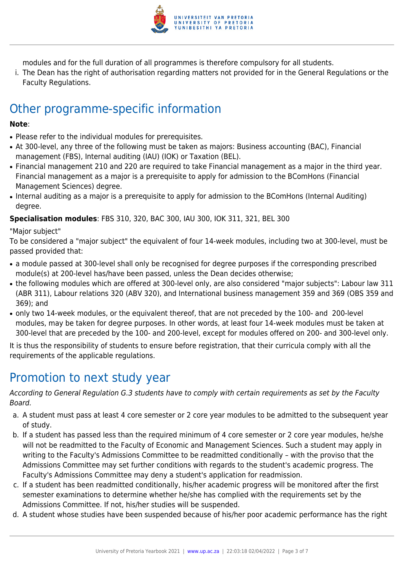

modules and for the full duration of all programmes is therefore compulsory for all students.

i. The Dean has the right of authorisation regarding matters not provided for in the General Regulations or the Faculty Regulations.

# Other programme-specific information

#### **Note**:

- Please refer to the individual modules for prerequisites.
- At 300-level, any three of the following must be taken as majors: Business accounting (BAC), Financial management (FBS), Internal auditing (IAU) (IOK) or Taxation (BEL).
- Financial management 210 and 220 are required to take Financial management as a major in the third year. Financial management as a major is a prerequisite to apply for admission to the BComHons (Financial Management Sciences) degree.
- Internal auditing as a major is a prerequisite to apply for admission to the BComHons (Internal Auditing) degree.

**Specialisation modules**: FBS 310, 320, BAC 300, IAU 300, IOK 311, 321, BEL 300

"Major subject"

To be considered a "major subject" the equivalent of four 14-week modules, including two at 300-level, must be passed provided that:

- a module passed at 300-level shall only be recognised for degree purposes if the corresponding prescribed module(s) at 200-level has/have been passed, unless the Dean decides otherwise;
- the following modules which are offered at 300-level only, are also considered "major subjects": Labour law 311 (ABR 311), Labour relations 320 (ABV 320), and International business management 359 and 369 (OBS 359 and 369); and
- only two 14-week modules, or the equivalent thereof, that are not preceded by the 100- and 200-level modules, may be taken for degree purposes. In other words, at least four 14-week modules must be taken at 300-level that are preceded by the 100- and 200-level, except for modules offered on 200- and 300-level only.

It is thus the responsibility of students to ensure before registration, that their curricula comply with all the requirements of the applicable regulations.

### Promotion to next study year

According to General Regulation G.3 students have to comply with certain requirements as set by the Faculty Board.

- a. A student must pass at least 4 core semester or 2 core year modules to be admitted to the subsequent year of study.
- b. If a student has passed less than the required minimum of 4 core semester or 2 core year modules, he/she will not be readmitted to the Faculty of Economic and Management Sciences. Such a student may apply in writing to the Faculty's Admissions Committee to be readmitted conditionally – with the proviso that the Admissions Committee may set further conditions with regards to the student's academic progress. The Faculty's Admissions Committee may deny a student's application for readmission.
- c. If a student has been readmitted conditionally, his/her academic progress will be monitored after the first semester examinations to determine whether he/she has complied with the requirements set by the Admissions Committee. If not, his/her studies will be suspended.
- d. A student whose studies have been suspended because of his/her poor academic performance has the right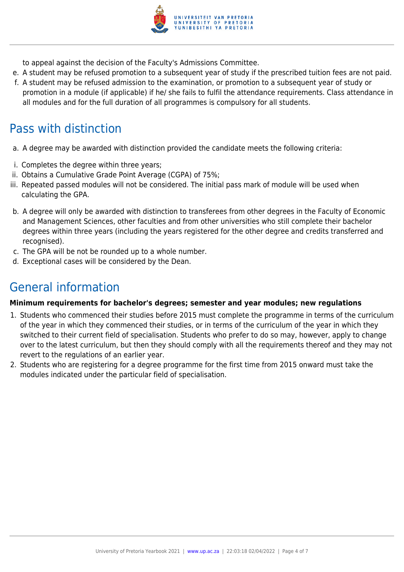

to appeal against the decision of the Faculty's Admissions Committee.

- e. A student may be refused promotion to a subsequent year of study if the prescribed tuition fees are not paid.
- f. A student may be refused admission to the examination, or promotion to a subsequent year of study or promotion in a module (if applicable) if he/ she fails to fulfil the attendance requirements. Class attendance in all modules and for the full duration of all programmes is compulsory for all students.

# Pass with distinction

- a. A degree may be awarded with distinction provided the candidate meets the following criteria:
- i. Completes the degree within three years;
- ii. Obtains a Cumulative Grade Point Average (CGPA) of 75%;
- iii. Repeated passed modules will not be considered. The initial pass mark of module will be used when calculating the GPA.
- b. A degree will only be awarded with distinction to transferees from other degrees in the Faculty of Economic and Management Sciences, other faculties and from other universities who still complete their bachelor degrees within three years (including the years registered for the other degree and credits transferred and recognised).
- c. The GPA will be not be rounded up to a whole number.
- d. Exceptional cases will be considered by the Dean.

# General information

#### **Minimum requirements for bachelor's degrees; semester and year modules; new regulations**

- 1. Students who commenced their studies before 2015 must complete the programme in terms of the curriculum of the year in which they commenced their studies, or in terms of the curriculum of the year in which they switched to their current field of specialisation. Students who prefer to do so may, however, apply to change over to the latest curriculum, but then they should comply with all the requirements thereof and they may not revert to the regulations of an earlier year.
- 2. Students who are registering for a degree programme for the first time from 2015 onward must take the modules indicated under the particular field of specialisation.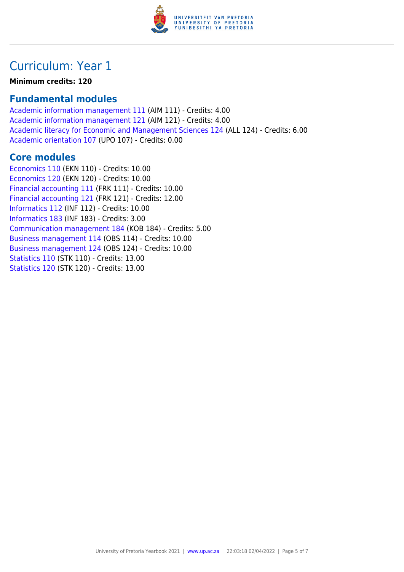

## Curriculum: Year 1

**Minimum credits: 120**

### **Fundamental modules**

[Academic information management 111](https://www.up.ac.za/yearbooks/2021/modules/view/AIM 111) (AIM 111) - Credits: 4.00 [Academic information management 121](https://www.up.ac.za/yearbooks/2021/modules/view/AIM 121) (AIM 121) - Credits: 4.00 [Academic literacy for Economic and Management Sciences 124](https://www.up.ac.za/yearbooks/2021/modules/view/ALL 124) (ALL 124) - Credits: 6.00 [Academic orientation 107](https://www.up.ac.za/yearbooks/2021/modules/view/UPO 107) (UPO 107) - Credits: 0.00

#### **Core modules**

[Economics 110](https://www.up.ac.za/yearbooks/2021/modules/view/EKN 110) (EKN 110) - Credits: 10.00 [Economics 120](https://www.up.ac.za/yearbooks/2021/modules/view/EKN 120) (EKN 120) - Credits: 10.00 [Financial accounting 111](https://www.up.ac.za/yearbooks/2021/modules/view/FRK 111) (FRK 111) - Credits: 10.00 [Financial accounting 121](https://www.up.ac.za/yearbooks/2021/modules/view/FRK 121) (FRK 121) - Credits: 12.00 [Informatics 112](https://www.up.ac.za/yearbooks/2021/modules/view/INF 112) (INF 112) - Credits: 10.00 [Informatics 183](https://www.up.ac.za/yearbooks/2021/modules/view/INF 183) (INF 183) - Credits: 3.00 [Communication management 184](https://www.up.ac.za/yearbooks/2021/modules/view/KOB 184) (KOB 184) - Credits: 5.00 [Business management 114](https://www.up.ac.za/yearbooks/2021/modules/view/OBS 114) (OBS 114) - Credits: 10.00 [Business management 124](https://www.up.ac.za/yearbooks/2021/modules/view/OBS 124) (OBS 124) - Credits: 10.00 [Statistics 110](https://www.up.ac.za/yearbooks/2021/modules/view/STK 110) (STK 110) - Credits: 13.00 [Statistics 120](https://www.up.ac.za/yearbooks/2021/modules/view/STK 120) (STK 120) - Credits: 13.00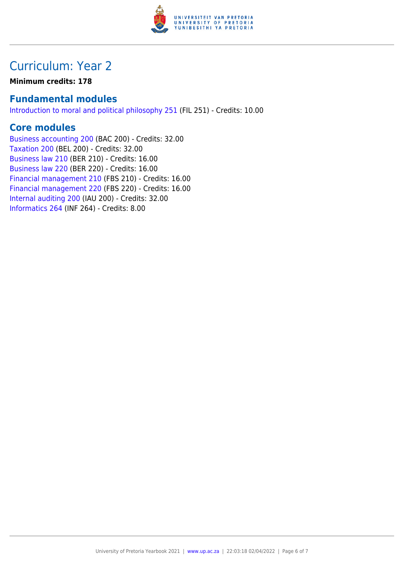

## Curriculum: Year 2

**Minimum credits: 178**

### **Fundamental modules**

[Introduction to moral and political philosophy 251](https://www.up.ac.za/yearbooks/2021/modules/view/FIL 251) (FIL 251) - Credits: 10.00

### **Core modules**

[Business accounting 200](https://www.up.ac.za/yearbooks/2021/modules/view/BAC 200) (BAC 200) - Credits: 32.00 [Taxation 200](https://www.up.ac.za/yearbooks/2021/modules/view/BEL 200) (BEL 200) - Credits: 32.00 [Business law 210](https://www.up.ac.za/yearbooks/2021/modules/view/BER 210) (BER 210) - Credits: 16.00 [Business law 220](https://www.up.ac.za/yearbooks/2021/modules/view/BER 220) (BER 220) - Credits: 16.00 [Financial management 210](https://www.up.ac.za/yearbooks/2021/modules/view/FBS 210) (FBS 210) - Credits: 16.00 [Financial management 220](https://www.up.ac.za/yearbooks/2021/modules/view/FBS 220) (FBS 220) - Credits: 16.00 [Internal auditing 200](https://www.up.ac.za/yearbooks/2021/modules/view/IAU 200) (IAU 200) - Credits: 32.00 [Informatics 264](https://www.up.ac.za/yearbooks/2021/modules/view/INF 264) (INF 264) - Credits: 8.00